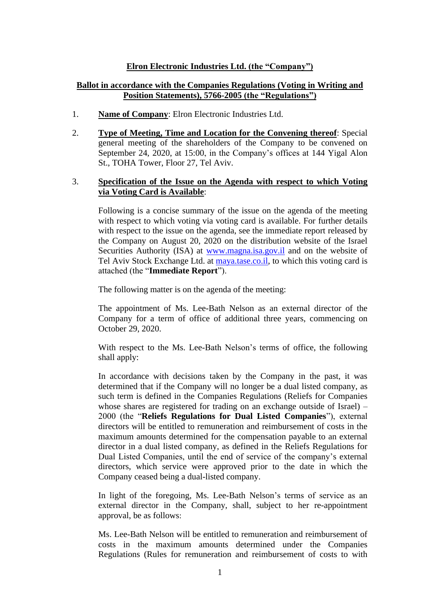## **Elron Electronic Industries Ltd. (the "Company")**

# **Ballot in accordance with the Companies Regulations (Voting in Writing and Position Statements), 5766-2005 (the "Regulations")**

- 1. **Name of Company**: Elron Electronic Industries Ltd.
- 2. **Type of Meeting, Time and Location for the Convening thereof**: Special general meeting of the shareholders of the Company to be convened on September 24, 2020, at 15:00, in the Company's offices at 144 Yigal Alon St., TOHA Tower, Floor 27, Tel Aviv.

## 3. **Specification of the Issue on the Agenda with respect to which Voting via Voting Card is Available**:

Following is a concise summary of the issue on the agenda of the meeting with respect to which voting via voting card is available. For further details with respect to the issue on the agenda, see the immediate report released by the Company on August 20, 2020 on the distribution website of the Israel Securities Authority (ISA) at [www.magna.isa.gov.il](http://www.magna.isa.gov.il/) and on the website of Tel Aviv Stock Exchange Ltd. at [maya.tase.co.il,](http://www.maya.tase.co.il/) to which this voting card is attached (the "**Immediate Report**").

The following matter is on the agenda of the meeting:

The appointment of Ms. Lee-Bath Nelson as an external director of the Company for a term of office of additional three years, commencing on October 29, 2020.

With respect to the Ms. Lee-Bath Nelson's terms of office, the following shall apply:

In accordance with decisions taken by the Company in the past, it was determined that if the Company will no longer be a dual listed company, as such term is defined in the Companies Regulations (Reliefs for Companies whose shares are registered for trading on an exchange outside of Israel) – 2000 (the "**Reliefs Regulations for Dual Listed Companies**"), external directors will be entitled to remuneration and reimbursement of costs in the maximum amounts determined for the compensation payable to an external director in a dual listed company, as defined in the Reliefs Regulations for Dual Listed Companies, until the end of service of the company's external directors, which service were approved prior to the date in which the Company ceased being a dual-listed company.

In light of the foregoing, Ms. Lee-Bath Nelson's terms of service as an external director in the Company, shall, subject to her re-appointment approval, be as follows:

Ms. Lee-Bath Nelson will be entitled to remuneration and reimbursement of costs in the maximum amounts determined under the Companies Regulations (Rules for remuneration and reimbursement of costs to with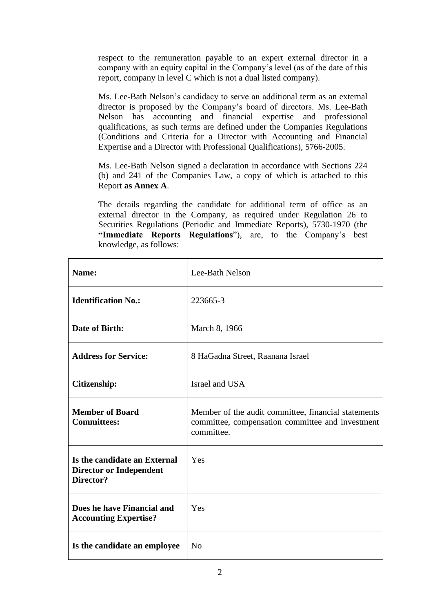respect to the remuneration payable to an expert external director in a company with an equity capital in the Company's level (as of the date of this report, company in level C which is not a dual listed company).

Ms. Lee-Bath Nelson's candidacy to serve an additional term as an external director is proposed by the Company's board of directors. Ms. Lee-Bath Nelson has accounting and financial expertise and professional qualifications, as such terms are defined under the Companies Regulations (Conditions and Criteria for a Director with Accounting and Financial Expertise and a Director with Professional Qualifications), 5766-2005.

Ms. Lee-Bath Nelson signed a declaration in accordance with Sections 224 (b) and 241 of the Companies Law, a copy of which is attached to this Report **as Annex A**.

The details regarding the candidate for additional term of office as an external director in the Company, as required under Regulation 26 to Securities Regulations (Periodic and Immediate Reports), 5730-1970 (the **"Immediate Reports Regulations**"), are, to the Company's best knowledge, as follows:

| Name:                                                                       | Lee-Bath Nelson                                                                                                       |
|-----------------------------------------------------------------------------|-----------------------------------------------------------------------------------------------------------------------|
| <b>Identification No.:</b>                                                  | 223665-3                                                                                                              |
| Date of Birth:                                                              | March 8, 1966                                                                                                         |
| <b>Address for Service:</b>                                                 | 8 HaGadna Street, Raanana Israel                                                                                      |
| <b>Citizenship:</b>                                                         | Israel and USA                                                                                                        |
| <b>Member of Board</b><br><b>Committees:</b>                                | Member of the audit committee, financial statements<br>committee, compensation committee and investment<br>committee. |
| Is the candidate an External<br><b>Director or Independent</b><br>Director? | Yes                                                                                                                   |
| Does he have Financial and<br><b>Accounting Expertise?</b>                  | Yes                                                                                                                   |
| Is the candidate an employee                                                | N <sub>o</sub>                                                                                                        |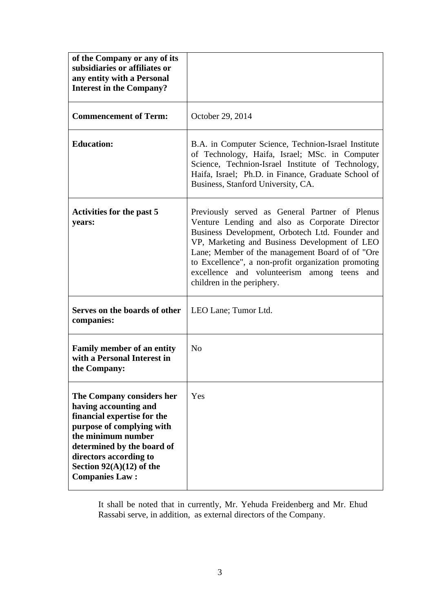| of the Company or any of its<br>subsidiaries or affiliates or<br>any entity with a Personal<br><b>Interest in the Company?</b>                                                                                                                      |                                                                                                                                                                                                                                                                                                                                                                                                |
|-----------------------------------------------------------------------------------------------------------------------------------------------------------------------------------------------------------------------------------------------------|------------------------------------------------------------------------------------------------------------------------------------------------------------------------------------------------------------------------------------------------------------------------------------------------------------------------------------------------------------------------------------------------|
| <b>Commencement of Term:</b>                                                                                                                                                                                                                        | October 29, 2014                                                                                                                                                                                                                                                                                                                                                                               |
| <b>Education:</b>                                                                                                                                                                                                                                   | B.A. in Computer Science, Technion-Israel Institute<br>of Technology, Haifa, Israel; MSc. in Computer<br>Science, Technion-Israel Institute of Technology,<br>Haifa, Israel; Ph.D. in Finance, Graduate School of<br>Business, Stanford University, CA.                                                                                                                                        |
| Activities for the past 5<br>years:                                                                                                                                                                                                                 | Previously served as General Partner of Plenus<br>Venture Lending and also as Corporate Director<br>Business Development, Orbotech Ltd. Founder and<br>VP, Marketing and Business Development of LEO<br>Lane; Member of the management Board of of "Ore<br>to Excellence", a non-profit organization promoting<br>excellence and volunteerism among teens<br>and<br>children in the periphery. |
| Serves on the boards of other<br>companies:                                                                                                                                                                                                         | LEO Lane; Tumor Ltd.                                                                                                                                                                                                                                                                                                                                                                           |
| <b>Family member of an entity</b><br>with a Personal Interest in<br>the Company:                                                                                                                                                                    | N <sub>o</sub>                                                                                                                                                                                                                                                                                                                                                                                 |
| The Company considers her<br>having accounting and<br>financial expertise for the<br>purpose of complying with<br>the minimum number<br>determined by the board of<br>directors according to<br>Section $92(A)(12)$ of the<br><b>Companies Law:</b> | Yes                                                                                                                                                                                                                                                                                                                                                                                            |

It shall be noted that in currently, Mr. Yehuda Freidenberg and Mr. Ehud Rassabi serve, in addition, as external directors of the Company.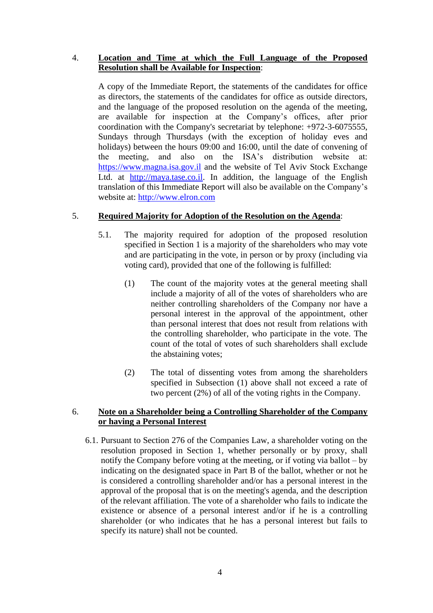## 4. **Location and Time at which the Full Language of the Proposed Resolution shall be Available for Inspection**:

A copy of the Immediate Report, the statements of the candidates for office as directors, the statements of the candidates for office as outside directors, and the language of the proposed resolution on the agenda of the meeting, are available for inspection at the Company's offices, after prior coordination with the Company's secretariat by telephone: +972-3-6075555, Sundays through Thursdays (with the exception of holiday eves and holidays) between the hours 09:00 and 16:00, until the date of convening of the meeting, and also on the ISA's distribution website at: https:/[/www.magna.isa.gov.il](http://www.magna.isa.gov.il/) and the website of Tel Aviv Stock Exchange Ltd. at [http://maya.tase.co.il.](http://maya.tase.co.il/) In addition, the language of the English translation of this Immediate Report will also be available on the Company's website at: [http://www.elron.com](http://www.elron.com/)

# 5. **Required Majority for Adoption of the Resolution on the Agenda**:

- 5.1. The majority required for adoption of the proposed resolution specified in Section 1 is a majority of the shareholders who may vote and are participating in the vote, in person or by proxy (including via voting card), provided that one of the following is fulfilled:
	- (1) The count of the majority votes at the general meeting shall include a majority of all of the votes of shareholders who are neither controlling shareholders of the Company nor have a personal interest in the approval of the appointment, other than personal interest that does not result from relations with the controlling shareholder, who participate in the vote. The count of the total of votes of such shareholders shall exclude the abstaining votes;
	- (2) The total of dissenting votes from among the shareholders specified in Subsection (1) above shall not exceed a rate of two percent (2%) of all of the voting rights in the Company.

## 6. **Note on a Shareholder being a Controlling Shareholder of the Company or having a Personal Interest**

6.1. Pursuant to Section 276 of the Companies Law, a shareholder voting on the resolution proposed in Section 1, whether personally or by proxy, shall notify the Company before voting at the meeting, or if voting via ballot – by indicating on the designated space in Part B of the ballot, whether or not he is considered a controlling shareholder and/or has a personal interest in the approval of the proposal that is on the meeting's agenda, and the description of the relevant affiliation. The vote of a shareholder who fails to indicate the existence or absence of a personal interest and/or if he is a controlling shareholder (or who indicates that he has a personal interest but fails to specify its nature) shall not be counted.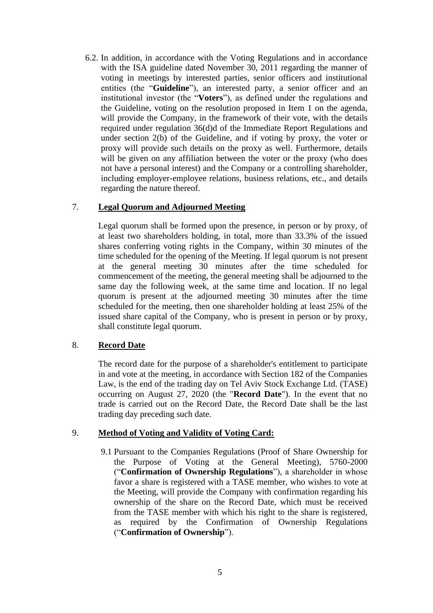6.2. In addition, in accordance with the Voting Regulations and in accordance with the ISA guideline dated November 30, 2011 regarding the manner of voting in meetings by interested parties, senior officers and institutional entities (the "**Guideline**"), an interested party, a senior officer and an institutional investor (the "**Voters**"), as defined under the regulations and the Guideline, voting on the resolution proposed in Item 1 on the agenda, will provide the Company, in the framework of their vote, with the details required under regulation 36(d)d of the Immediate Report Regulations and under section 2(b) of the Guideline, and if voting by proxy, the voter or proxy will provide such details on the proxy as well. Furthermore, details will be given on any affiliation between the voter or the proxy (who does not have a personal interest) and the Company or a controlling shareholder, including employer-employee relations, business relations, etc., and details regarding the nature thereof.

## 7. **Legal Quorum and Adjourned Meeting**

Legal quorum shall be formed upon the presence, in person or by proxy, of at least two shareholders holding, in total, more than 33.3% of the issued shares conferring voting rights in the Company, within 30 minutes of the time scheduled for the opening of the Meeting. If legal quorum is not present at the general meeting 30 minutes after the time scheduled for commencement of the meeting, the general meeting shall be adjourned to the same day the following week, at the same time and location. If no legal quorum is present at the adjourned meeting 30 minutes after the time scheduled for the meeting, then one shareholder holding at least 25% of the issued share capital of the Company, who is present in person or by proxy, shall constitute legal quorum.

#### 8. **Record Date**

The record date for the purpose of a shareholder's entitlement to participate in and vote at the meeting, in accordance with Section 182 of the Companies Law, is the end of the trading day on Tel Aviv Stock Exchange Ltd. (TASE) occurring on August 27, 2020 (the "**Record Date**"). In the event that no trade is carried out on the Record Date, the Record Date shall be the last trading day preceding such date.

# 9. **Method of Voting and Validity of Voting Card:**

9.1 Pursuant to the Companies Regulations (Proof of Share Ownership for the Purpose of Voting at the General Meeting), 5760-2000 ("**Confirmation of Ownership Regulations**"), a shareholder in whose favor a share is registered with a TASE member, who wishes to vote at the Meeting, will provide the Company with confirmation regarding his ownership of the share on the Record Date, which must be received from the TASE member with which his right to the share is registered, as required by the Confirmation of Ownership Regulations ("**Confirmation of Ownership**").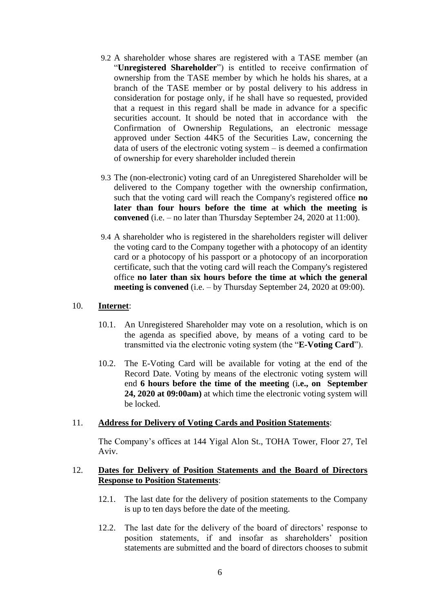- 9.2 A shareholder whose shares are registered with a TASE member (an "**Unregistered Shareholder**") is entitled to receive confirmation of ownership from the TASE member by which he holds his shares, at a branch of the TASE member or by postal delivery to his address in consideration for postage only, if he shall have so requested, provided that a request in this regard shall be made in advance for a specific securities account. It should be noted that in accordance with the Confirmation of Ownership Regulations, an electronic message approved under Section 44K5 of the Securities Law, concerning the data of users of the electronic voting system – is deemed a confirmation of ownership for every shareholder included therein
- 9.3 The (non-electronic) voting card of an Unregistered Shareholder will be delivered to the Company together with the ownership confirmation, such that the voting card will reach the Company's registered office **no later than four hours before the time at which the meeting is convened** (i.e. – no later than Thursday September 24, 2020 at 11:00).
- 9.4 A shareholder who is registered in the shareholders register will deliver the voting card to the Company together with a photocopy of an identity card or a photocopy of his passport or a photocopy of an incorporation certificate, such that the voting card will reach the Company's registered office **no later than six hours before the time at which the general meeting is convened** (i.e. – by Thursday September 24, 2020 at 09:00).

#### 10. **Internet**:

- 10.1. An Unregistered Shareholder may vote on a resolution, which is on the agenda as specified above, by means of a voting card to be transmitted via the electronic voting system (the "**E-Voting Card**").
- 10.2. The E-Voting Card will be available for voting at the end of the Record Date. Voting by means of the electronic voting system will end **6 hours before the time of the meeting** (i**.e., on September 24, 2020 at 09:00am)** at which time the electronic voting system will be locked.

#### 11. **Address for Delivery of Voting Cards and Position Statements**:

The Company's offices at 144 Yigal Alon St., TOHA Tower, Floor 27, Tel Aviv.

#### 12. **Dates for Delivery of Position Statements and the Board of Directors Response to Position Statements**:

- 12.1. The last date for the delivery of position statements to the Company is up to ten days before the date of the meeting.
- 12.2. The last date for the delivery of the board of directors' response to position statements, if and insofar as shareholders' position statements are submitted and the board of directors chooses to submit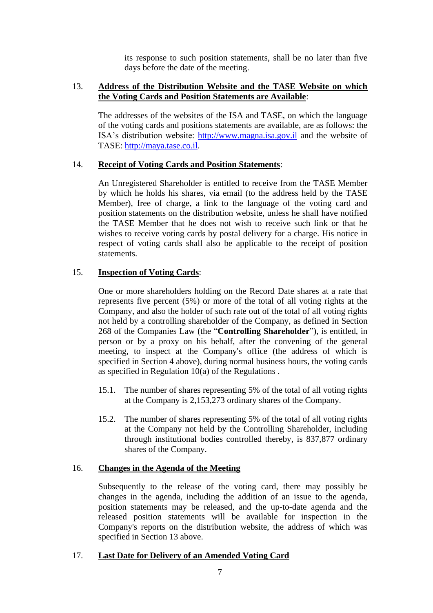its response to such position statements, shall be no later than five days before the date of the meeting.

## 13. **Address of the Distribution Website and the TASE Website on which the Voting Cards and Position Statements are Available**:

The addresses of the websites of the ISA and TASE, on which the language of the voting cards and positions statements are available, are as follows: the ISA's distribution website: [http://www.magna.isa.gov.il](http://www.magna.isa.gov.il/) and the website of TASE: [http://maya.tase.co.il.](http://maya.tase.co.il/)

# 14. **Receipt of Voting Cards and Position Statements**:

An Unregistered Shareholder is entitled to receive from the TASE Member by which he holds his shares, via email (to the address held by the TASE Member), free of charge, a link to the language of the voting card and position statements on the distribution website, unless he shall have notified the TASE Member that he does not wish to receive such link or that he wishes to receive voting cards by postal delivery for a charge. His notice in respect of voting cards shall also be applicable to the receipt of position statements.

# 15. **Inspection of Voting Cards**:

One or more shareholders holding on the Record Date shares at a rate that represents five percent (5%) or more of the total of all voting rights at the Company, and also the holder of such rate out of the total of all voting rights not held by a controlling shareholder of the Company, as defined in Section 268 of the Companies Law (the "**Controlling Shareholder**"), is entitled, in person or by a proxy on his behalf, after the convening of the general meeting, to inspect at the Company's office (the address of which is specified in Section 4 above), during normal business hours, the voting cards as specified in Regulation 10(a) of the Regulations .

- 15.1. The number of shares representing 5% of the total of all voting rights at the Company is 2,153,273 ordinary shares of the Company.
- 15.2. The number of shares representing 5% of the total of all voting rights at the Company not held by the Controlling Shareholder, including through institutional bodies controlled thereby, is 837,877 ordinary shares of the Company.

#### 16. **Changes in the Agenda of the Meeting**

Subsequently to the release of the voting card, there may possibly be changes in the agenda, including the addition of an issue to the agenda, position statements may be released, and the up-to-date agenda and the released position statements will be available for inspection in the Company's reports on the distribution website, the address of which was specified in Section 13 above.

# 17. **Last Date for Delivery of an Amended Voting Card**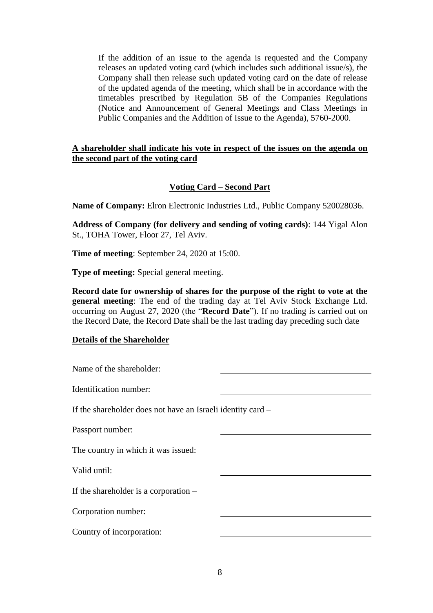If the addition of an issue to the agenda is requested and the Company releases an updated voting card (which includes such additional issue/s), the Company shall then release such updated voting card on the date of release of the updated agenda of the meeting, which shall be in accordance with the timetables prescribed by Regulation 5B of the Companies Regulations (Notice and Announcement of General Meetings and Class Meetings in Public Companies and the Addition of Issue to the Agenda), 5760-2000.

### **A shareholder shall indicate his vote in respect of the issues on the agenda on the second part of the voting card**

# **Voting Card – Second Part**

**Name of Company:** Elron Electronic Industries Ltd., Public Company 520028036.

**Address of Company (for delivery and sending of voting cards)**: 144 Yigal Alon St., TOHA Tower, Floor 27, Tel Aviv.

**Time of meeting**: September 24, 2020 at 15:00.

**Type of meeting:** Special general meeting.

**Record date for ownership of shares for the purpose of the right to vote at the general meeting**: The end of the trading day at Tel Aviv Stock Exchange Ltd. occurring on August 27, 2020 (the "**Record Date**"). If no trading is carried out on the Record Date, the Record Date shall be the last trading day preceding such date

#### **Details of the Shareholder**

| If the shareholder does not have an Israeli identity card – |  |  |  |  |  |
|-------------------------------------------------------------|--|--|--|--|--|
|                                                             |  |  |  |  |  |
|                                                             |  |  |  |  |  |
|                                                             |  |  |  |  |  |
|                                                             |  |  |  |  |  |
|                                                             |  |  |  |  |  |
|                                                             |  |  |  |  |  |
|                                                             |  |  |  |  |  |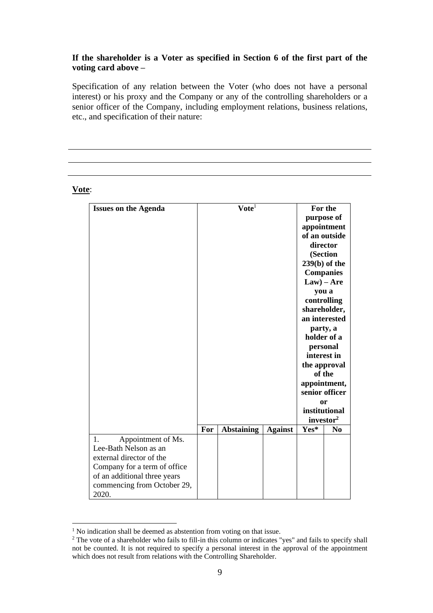## **If the shareholder is a Voter as specified in Section 6 of the first part of the voting card above –**

Specification of any relation between the Voter (who does not have a personal interest) or his proxy and the Company or any of the controlling shareholders or a senior officer of the Company, including employment relations, business relations, etc., and specification of their nature:

#### **Vote**:

| <b>Issues on the Agenda</b>          |     | $\mathbf{V}$ ote <sup>1</sup> |                | For the                        |                  |
|--------------------------------------|-----|-------------------------------|----------------|--------------------------------|------------------|
|                                      |     |                               |                |                                | purpose of       |
|                                      |     |                               |                |                                | appointment      |
|                                      |     |                               |                |                                | of an outside    |
|                                      |     |                               |                |                                | director         |
|                                      |     |                               |                |                                | (Section         |
|                                      |     |                               |                |                                | $239(b)$ of the  |
|                                      |     |                               |                |                                | <b>Companies</b> |
|                                      |     |                               |                | $Law) - Are$                   |                  |
|                                      |     |                               |                | you a                          |                  |
|                                      |     |                               |                |                                | controlling      |
|                                      |     |                               |                |                                | shareholder,     |
|                                      |     |                               |                |                                | an interested    |
|                                      |     |                               |                | party, a<br>holder of a        |                  |
|                                      |     |                               |                |                                |                  |
|                                      |     |                               |                | personal                       |                  |
|                                      |     |                               |                | interest in                    |                  |
|                                      |     |                               |                | the approval                   |                  |
|                                      |     |                               |                | of the                         |                  |
|                                      |     |                               |                | appointment,<br>senior officer |                  |
|                                      |     |                               |                |                                | or               |
|                                      |     |                               |                |                                | institutional    |
|                                      |     |                               |                | investor <sup>2</sup>          |                  |
|                                      | For | <b>Abstaining</b>             | <b>Against</b> | Yes*                           | N <sub>0</sub>   |
| Appointment of Ms.<br>$\mathbf{1}$ . |     |                               |                |                                |                  |
| Lee-Bath Nelson as an                |     |                               |                |                                |                  |
| external director of the             |     |                               |                |                                |                  |
| Company for a term of office         |     |                               |                |                                |                  |
| of an additional three years         |     |                               |                |                                |                  |
| commencing from October 29,          |     |                               |                |                                |                  |
| 2020.                                |     |                               |                |                                |                  |

<sup>&</sup>lt;sup>1</sup> No indication shall be deemed as abstention from voting on that issue.

<sup>&</sup>lt;sup>2</sup> The vote of a shareholder who fails to fill-in this column or indicates "yes" and fails to specify shall not be counted. It is not required to specify a personal interest in the approval of the appointment which does not result from relations with the Controlling Shareholder.